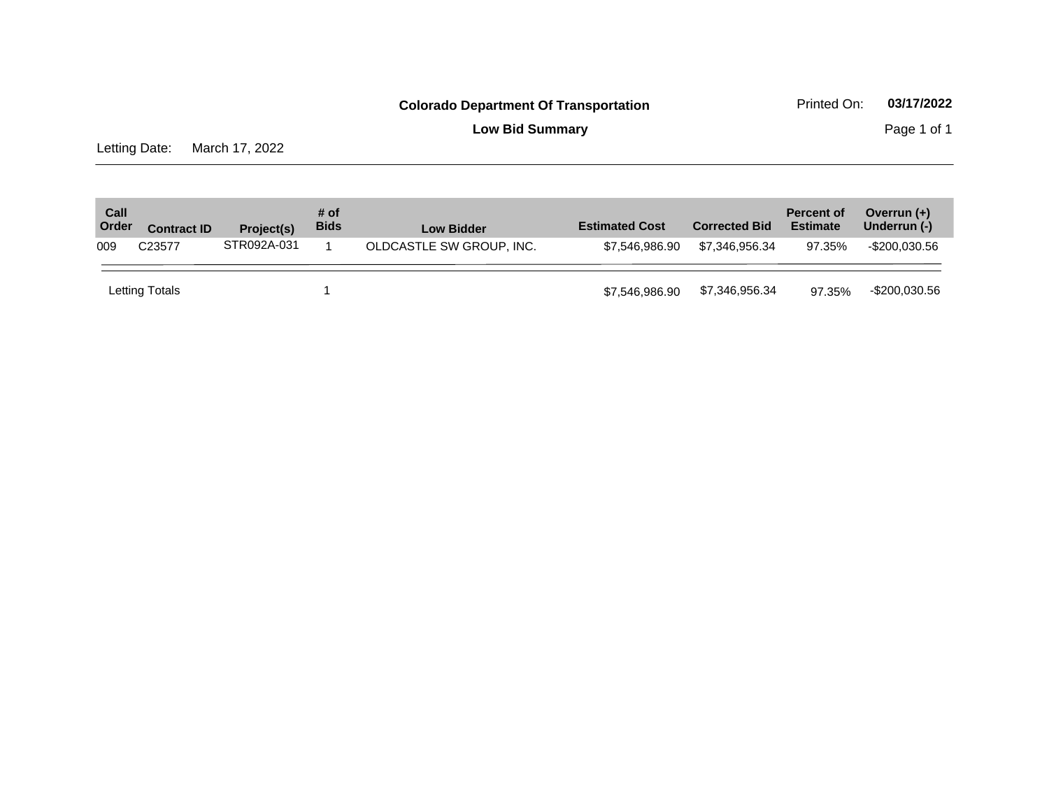**Low Bid Summary Page 1 of 1** 

Letting Date: March 17, 2022

| Call<br>Order | <b>Contract ID</b> | Project(s)  | # of<br><b>Bids</b> | <b>Low Bidder</b>        | <b>Estimated Cost</b> | <b>Corrected Bid</b> | <b>Percent of</b><br><b>Estimate</b> | Overrun $(+)$<br>Underrun (-) |
|---------------|--------------------|-------------|---------------------|--------------------------|-----------------------|----------------------|--------------------------------------|-------------------------------|
| 009           | C <sub>23577</sub> | STR092A-031 |                     | OLDCASTLE SW GROUP, INC. | \$7.546.986.90        | \$7.346.956.34       | 97.35%                               | -\$200.030.56                 |
|               | Letting Totals     |             |                     |                          | \$7,546,986.90        | \$7,346,956.34       | 97.35%                               | -\$200,030.56                 |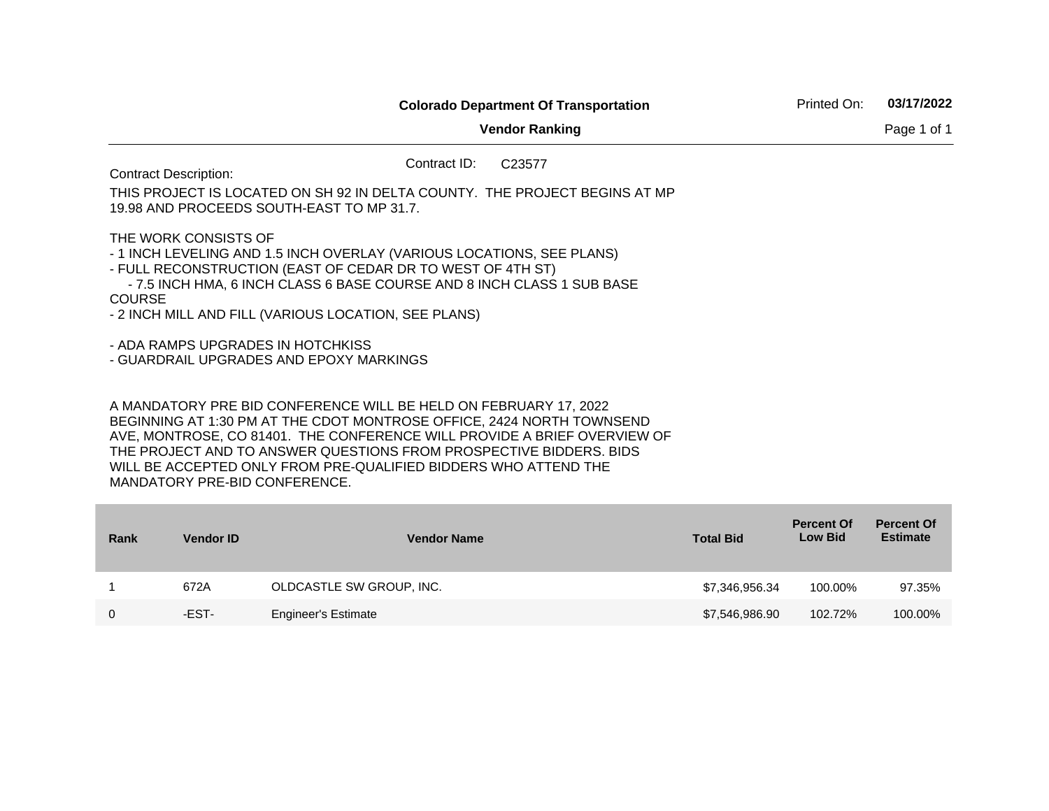**Vendor Ranking** Page 1 of 1 Contract ID: C23577 Contract Description: THIS PROJECT IS LOCATED ON SH 92 IN DELTA COUNTY. THE PROJECT BEGINS AT MP 19.98 AND PROCEEDS SOUTH-EAST TO MP 31.7. THE WORK CONSISTS OF - 1 INCH LEVELING AND 1.5 INCH OVERLAY (VARIOUS LOCATIONS, SEE PLANS) - FULL RECONSTRUCTION (EAST OF CEDAR DR TO WEST OF 4TH ST) - 7.5 INCH HMA, 6 INCH CLASS 6 BASE COURSE AND 8 INCH CLASS 1 SUB BASE **COURSE** - 2 INCH MILL AND FILL (VARIOUS LOCATION, SEE PLANS) - ADA RAMPS UPGRADES IN HOTCHKISS - GUARDRAIL UPGRADES AND EPOXY MARKINGS A MANDATORY PRE BID CONFERENCE WILL BE HELD ON FEBRUARY 17, 2022

BEGINNING AT 1:30 PM AT THE CDOT MONTROSE OFFICE, 2424 NORTH TOWNSEND AVE, MONTROSE, CO 81401. THE CONFERENCE WILL PROVIDE A BRIEF OVERVIEW OF THE PROJECT AND TO ANSWER QUESTIONS FROM PROSPECTIVE BIDDERS. BIDS WILL BE ACCEPTED ONLY FROM PRE-QUALIFIED BIDDERS WHO ATTEND THE MANDATORY PRE-BID CONFERENCE.

| Rank | <b>Vendor ID</b> | <b>Vendor Name</b>         | <b>Total Bid</b> | <b>Percent Of</b><br><b>Low Bid</b> | <b>Percent Of</b><br><b>Estimate</b> |
|------|------------------|----------------------------|------------------|-------------------------------------|--------------------------------------|
|      | 672A             | OLDCASTLE SW GROUP, INC.   | \$7,346,956.34   | 100.00%                             | 97.35%                               |
| 0    | -EST-            | <b>Engineer's Estimate</b> | \$7,546,986.90   | 102.72%                             | 100.00%                              |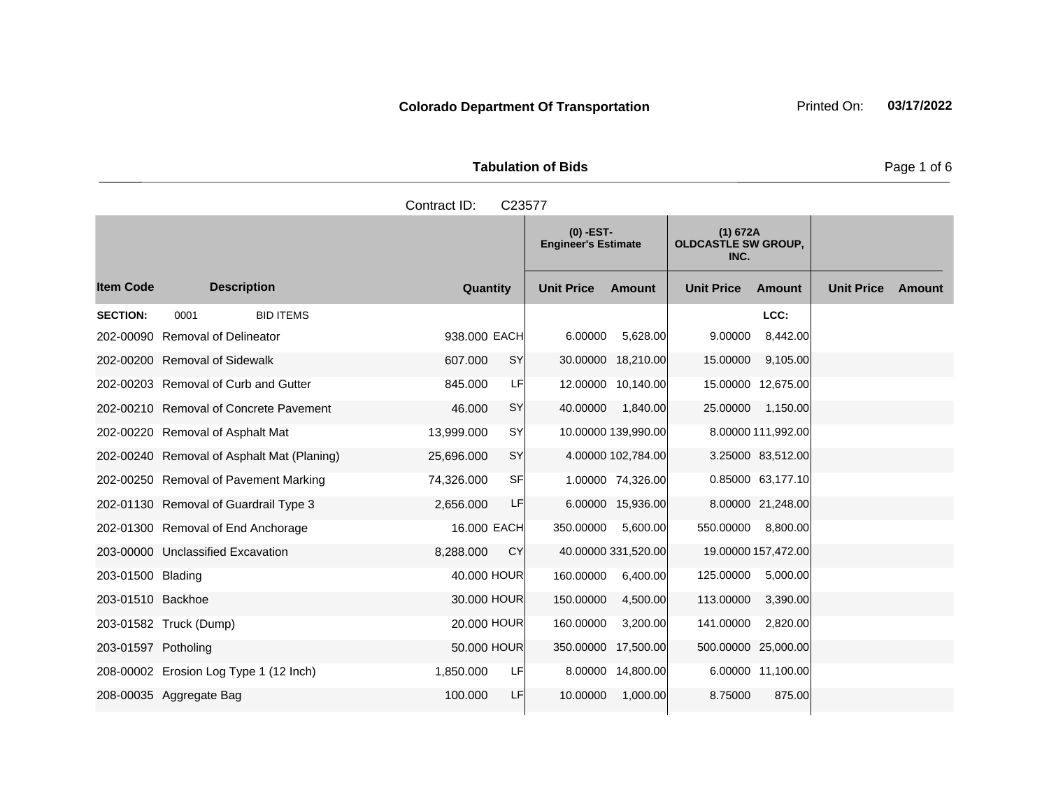| <b>Tabulation of Bids</b> |  |  |  |  |  |  |  |
|---------------------------|--|--|--|--|--|--|--|
| Contract ID: C23577       |  |  |  |  |  |  |  |

|                     |                                            |              |           | $(0)$ -EST-<br><b>Engineer's Estimate</b> |                     | (1) 672A<br><b>OLDCASTLE SW GROUP,</b><br>INC. |                     |                   |        |
|---------------------|--------------------------------------------|--------------|-----------|-------------------------------------------|---------------------|------------------------------------------------|---------------------|-------------------|--------|
| <b>Item Code</b>    | <b>Description</b>                         | Quantity     |           | <b>Unit Price</b>                         | <b>Amount</b>       | <b>Unit Price</b>                              | <b>Amount</b>       | <b>Unit Price</b> | Amount |
| <b>SECTION:</b>     | <b>BID ITEMS</b><br>0001                   |              |           |                                           |                     |                                                | LCC:                |                   |        |
|                     | 202-00090 Removal of Delineator            | 938,000 EACH |           | 6.00000                                   | 5,628.00            | 9.00000                                        | 8,442.00            |                   |        |
|                     | 202-00200 Removal of Sidewalk              | 607.000      | SY        |                                           | 30.00000 18,210.00  | 15.00000                                       | 9,105.00            |                   |        |
|                     | 202-00203 Removal of Curb and Gutter       | 845.000      | LF        |                                           | 12.00000 10,140.00  |                                                | 15.00000 12,675.00  |                   |        |
|                     | 202-00210 Removal of Concrete Pavement     | 46.000       | SY        | 40.00000                                  | 1,840.00            | 25.00000                                       | 1,150.00            |                   |        |
|                     | 202-00220 Removal of Asphalt Mat           | 13,999.000   | SY        |                                           | 10.00000 139,990.00 |                                                | 8.00000 111,992.00  |                   |        |
|                     | 202-00240 Removal of Asphalt Mat (Planing) | 25,696.000   | SY        |                                           | 4.00000 102,784.00  |                                                | 3.25000 83,512.00   |                   |        |
|                     | 202-00250 Removal of Pavement Marking      | 74,326.000   | <b>SF</b> |                                           | 1.00000 74,326.00   |                                                | 0.85000 63,177.10   |                   |        |
|                     | 202-01130 Removal of Guardrail Type 3      | 2,656.000    | LF        |                                           | 6.00000 15,936.00   |                                                | 8.00000 21,248.00   |                   |        |
|                     | 202-01300 Removal of End Anchorage         | 16,000 EACH  |           | 350.00000                                 | 5,600.00            | 550.00000                                      | 8,800.00            |                   |        |
|                     | 203-00000 Unclassified Excavation          | 8,288.000    | CY        |                                           | 40.00000 331,520.00 |                                                | 19.00000 157,472.00 |                   |        |
| 203-01500 Blading   |                                            | 40,000 HOUR  |           | 160.00000                                 | 6,400.00            | 125.00000                                      | 5,000.00            |                   |        |
| 203-01510 Backhoe   |                                            | 30.000 HOUR  |           | 150.00000                                 | 4,500.00            | 113.00000                                      | 3,390.00            |                   |        |
|                     | 203-01582 Truck (Dump)                     | 20,000 HOUR  |           | 160.00000                                 | 3,200.00            | 141.00000                                      | 2,820.00            |                   |        |
| 203-01597 Potholing |                                            | 50.000 HOUR  |           | 350.00000 17,500.00                       |                     | 500.00000                                      | 25,000.00           |                   |        |
|                     | 208-00002 Erosion Log Type 1 (12 Inch)     | 1,850.000    | LF        |                                           | 8.00000 14,800.00   |                                                | 6.00000 11,100.00   |                   |        |
|                     | 208-00035 Aggregate Bag                    | 100.000      | LF        | 10.00000                                  | 1,000.00            | 8.75000                                        | 875.00              |                   |        |

Page 1 of 6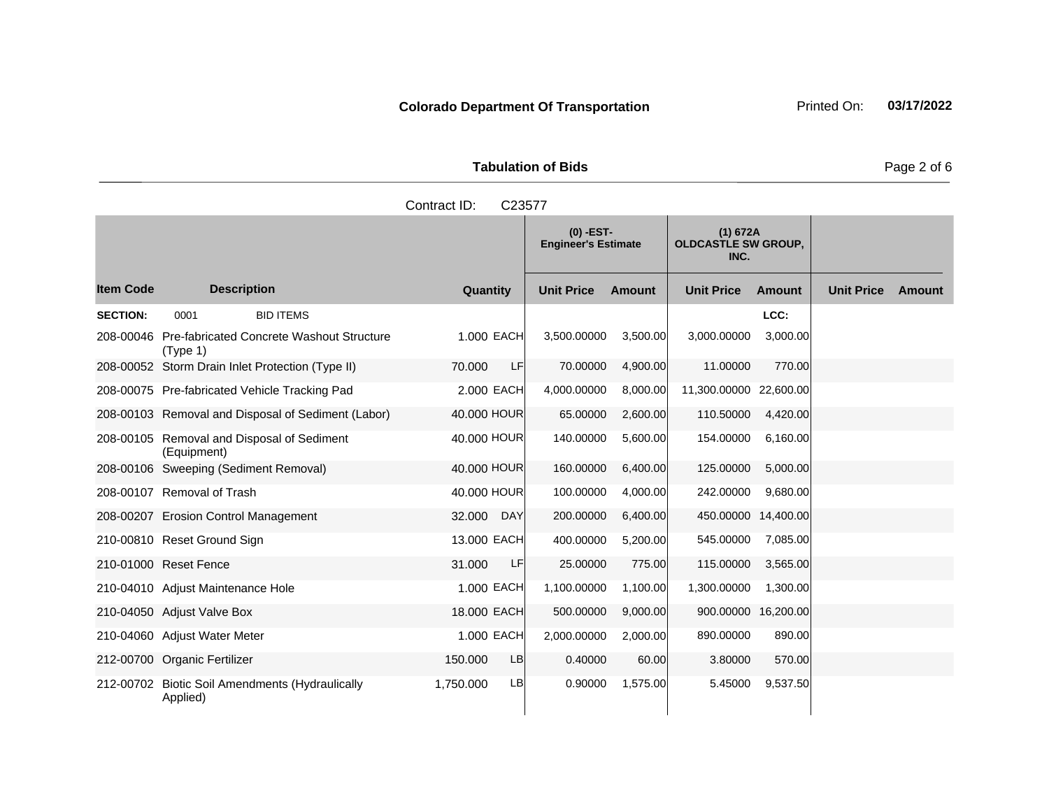|                     | <b>Tabulation of Bids</b>       |                                                |
|---------------------|---------------------------------|------------------------------------------------|
| Contract ID: C23577 |                                 |                                                |
|                     | O) -EST-<br>Engineer's Estimate | (1) 672A<br><b>OLDCASTLE SW GROUP,</b><br>---- |

**Quantity Unit Price Unit Price Item Code Amount Unit Price Amount Ext Ext Unit Price Amount Ext INC. Description SECTION:** 0001 BID ITEMS **LCC:** 208-00046 Pre-fabricated Concrete Washout Structure (Type 1) 1.000 EACH 3,500.00000 3,500.00 3,000.00000 3,000.00 208-00052 Storm Drain Inlet Protection (Type II) 70.000 LF 70.00000 4,900.00 11.00000 770.00 208-00075 Pre-fabricated Vehicle Tracking Pad 2.000 EACH 4,000.00000 8,000.00 11,300.00000 22,600.00 208-00103 Removal and Disposal of Sediment (Labor) 40.000 HOUR 65.00000 2,600.00 110.50000 4,420.00 208-00105 Removal and Disposal of Sediment (Equipment) 40.000 HOUR 140.00000 5,600.00 154.00000 6,160.00 208-00106 Sweeping (Sediment Removal) 40.000 HOUR 160.00000 6,400.00 125.00000 5,000.00 208-00107 Removal of Trash 40.000 HOUR 100.00000 4,000.00 242.00000 9,680.00 208-00207 Erosion Control Management 32.000 DAY 200.00000 6,400.00 450.00000 14,400.00 210-00810 Reset Ground Sign 13.000 EACH 400.00000 5,200.00 545.00000 7,085.00 210-01000 Reset Fence 31.000 LF 25.00000 775.00 115.00000 3,565.00 210-04010 Adjust Maintenance Hole 1.000 EACH 1,100.00000 1,100.000 1,300.0000 1,300.00 1,300.00 210-04050 Adjust Valve Box 18.000 EACH 500.00000 9,000.00 900.00000 16,200.00

1,750.000 LB 0.90000 1,575.00 5.45000 9,537.50

210-04060 Adjust Water Meter 1.000 EACH 2,000.00000 2,000.00 890.00000 890.00 212-00700 Organic Fertilizer 150.000 LB 0.40000 60.00 3.80000 570.00

212-00702 Biotic Soil Amendments (Hydraulically

Applied)

Page 2 of 6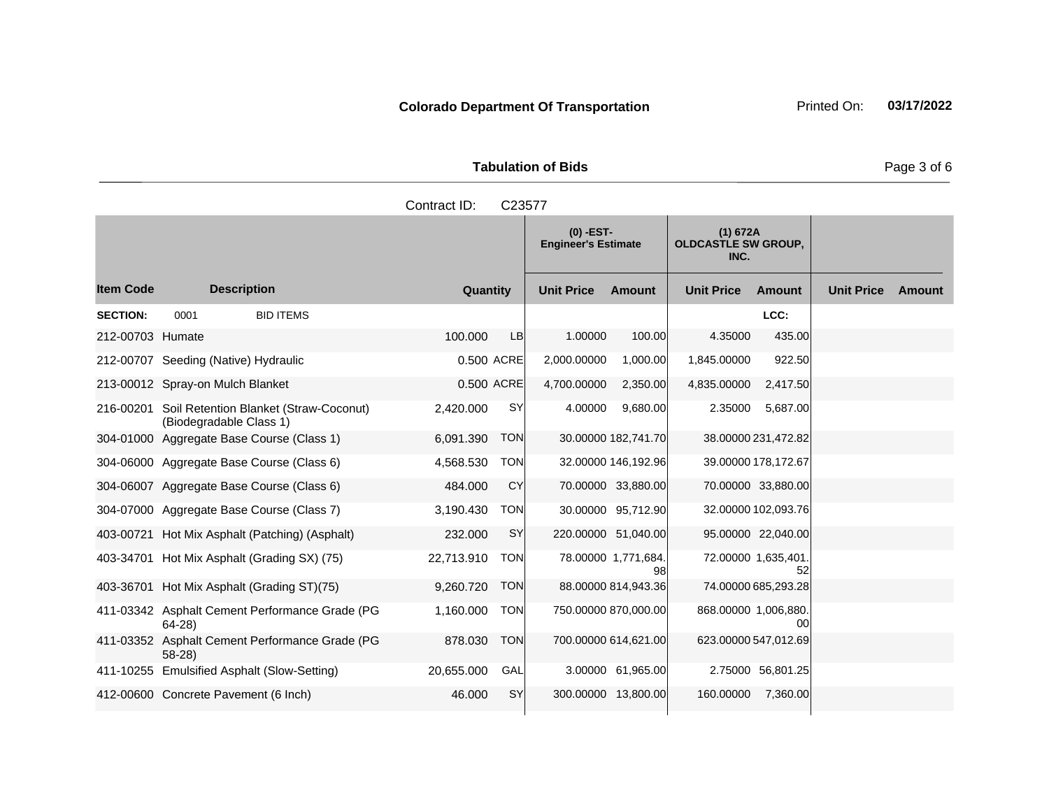**Tabulation of Bids Page 3 of 6** 

|                  |                                           |                                                  | Contract ID: | C23577     |                                           |                           |                                                |                           |                   |        |
|------------------|-------------------------------------------|--------------------------------------------------|--------------|------------|-------------------------------------------|---------------------------|------------------------------------------------|---------------------------|-------------------|--------|
|                  |                                           |                                                  |              |            | $(0)$ -EST-<br><b>Engineer's Estimate</b> |                           | (1) 672A<br><b>OLDCASTLE SW GROUP,</b><br>INC. |                           |                   |        |
| ltem Code        | <b>Description</b>                        |                                                  | Quantity     |            | <b>Unit Price</b>                         | <b>Amount</b>             | <b>Unit Price</b>                              | <b>Amount</b>             | <b>Unit Price</b> | Amount |
| <b>SECTION:</b>  | 0001                                      | <b>BID ITEMS</b>                                 |              |            |                                           |                           |                                                | LCC:                      |                   |        |
| 212-00703 Humate |                                           |                                                  | 100.000      | <b>LB</b>  | 1.00000                                   | 100.00                    | 4.35000                                        | 435.00                    |                   |        |
|                  | 212-00707 Seeding (Native) Hydraulic      |                                                  |              | 0.500 ACRE | 2,000.00000                               | 1,000.00                  | 1,845.00000                                    | 922.50                    |                   |        |
|                  | 213-00012 Spray-on Mulch Blanket          |                                                  |              | 0.500 ACRE | 4,700.00000                               | 2,350.00                  | 4,835.00000                                    | 2,417.50                  |                   |        |
|                  | (Biodegradable Class 1)                   | 216-00201 Soil Retention Blanket (Straw-Coconut) | 2,420.000    | <b>SY</b>  | 4.00000                                   | 9,680.00                  | 2.35000                                        | 5,687.00                  |                   |        |
| 304-01000        | Aggregate Base Course (Class 1)           |                                                  | 6,091.390    | <b>TON</b> |                                           | 30.00000 182,741.70       |                                                | 38.00000 231,472.82       |                   |        |
|                  | 304-06000 Aggregate Base Course (Class 6) |                                                  | 4,568.530    | <b>TON</b> |                                           | 32.00000 146,192.96       |                                                | 39.00000 178,172.67       |                   |        |
|                  | 304-06007 Aggregate Base Course (Class 6) |                                                  | 484.000      | CY         |                                           | 70.00000 33,880.00        |                                                | 70.00000 33,880.00        |                   |        |
|                  | 304-07000 Aggregate Base Course (Class 7) |                                                  | 3,190.430    | <b>TON</b> |                                           | 30.00000 95,712.90        |                                                | 32.00000 102,093.76       |                   |        |
|                  |                                           | 403-00721 Hot Mix Asphalt (Patching) (Asphalt)   | 232.000      | SY         |                                           | 220.00000 51,040.00       |                                                | 95.00000 22,040.00        |                   |        |
|                  |                                           | 403-34701 Hot Mix Asphalt (Grading SX) (75)      | 22,713.910   | <b>TON</b> |                                           | 78.00000 1,771,684.<br>98 |                                                | 72.00000 1,635,401.<br>52 |                   |        |

1,160.000 TON 750.00000 870,000.00 868.00000 1,006,880.

878.030 TON 700.00000 614,621.00 623.00000 547,012.69

403-36701 Hot Mix Asphalt (Grading ST)(75) 9,260.720 TON 88.00000 814,943.36 74.00000 685,293.28

411-10255 Emulsified Asphalt (Slow-Setting) 20,655.000 GAL 3.00000 61,965.00 2.75000 56,801.25 412-00600 Concrete Pavement (6 Inch) 46.000 SY 300.00000 13,800.00 160.00000 7,360.00

411-03342 Asphalt Cement Performance Grade (PG

411-03352 Asphalt Cement Performance Grade (PG

64-28)

58-28)

**Colorado Department Of Transportation** Printed On: 03/17/2022

00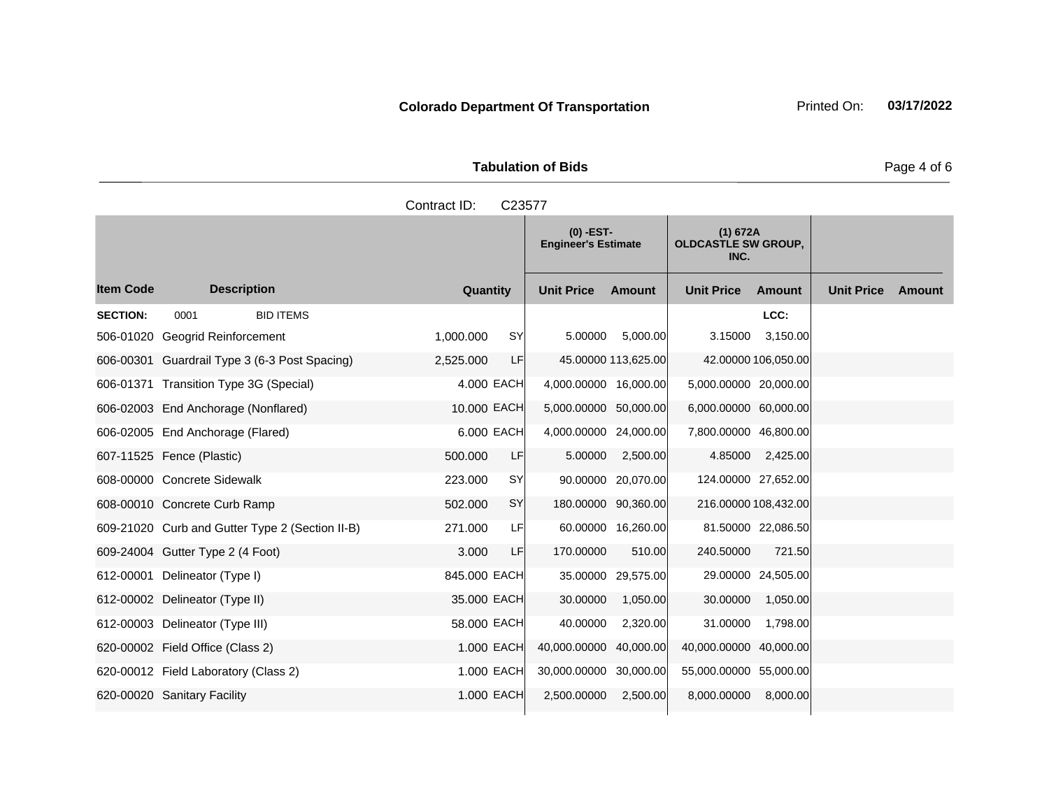Tabulation of Bids **Page 4 of 6** and  $P$ 

|                  |                                                 | Contract ID:<br>C23577 |                                           |                                                |                                    |
|------------------|-------------------------------------------------|------------------------|-------------------------------------------|------------------------------------------------|------------------------------------|
|                  |                                                 |                        | $(0)$ -EST-<br><b>Engineer's Estimate</b> | (1) 672A<br><b>OLDCASTLE SW GROUP,</b><br>INC. |                                    |
| <b>Item Code</b> | <b>Description</b>                              | Quantity               | <b>Unit Price</b><br>Amount               | <b>Unit Price</b><br>Amount                    | <b>Unit Price</b><br><b>Amount</b> |
| <b>SECTION:</b>  | <b>BID ITEMS</b><br>0001                        |                        |                                           | LCC:                                           |                                    |
|                  | 506-01020 Geogrid Reinforcement                 | 1,000.000<br><b>SY</b> | 5,000.00<br>5.00000                       | 3,150.00<br>3.15000                            |                                    |
|                  | 606-00301 Guardrail Type 3 (6-3 Post Spacing)   | LF<br>2,525.000        | 45.00000 113,625.00                       | 42.00000 106,050.00                            |                                    |
|                  | 606-01371 Transition Type 3G (Special)          | 4,000 EACH             | 4,000.00000 16,000.00                     | 5,000.00000 20,000.00                          |                                    |
|                  | 606-02003 End Anchorage (Nonflared)             | 10,000 EACH            | 5,000.00000 50,000.00                     | 6,000.00000 60,000.00                          |                                    |
|                  | 606-02005 End Anchorage (Flared)                | 6,000 EACH             | 4,000.00000 24,000.00                     | 7,800.00000 46,800.00                          |                                    |
|                  | 607-11525 Fence (Plastic)                       | 500.000<br>LF          | 5.00000<br>2,500.00                       | 4.85000<br>2,425.00                            |                                    |
|                  | 608-00000 Concrete Sidewalk                     | <b>SY</b><br>223.000   | 90.00000 20,070.00                        | 124.00000 27,652.00                            |                                    |
|                  | 608-00010 Concrete Curb Ramp                    | SY<br>502.000          | 180.00000 90,360.00                       | 216.00000 108,432.00                           |                                    |
|                  | 609-21020 Curb and Gutter Type 2 (Section II-B) | LFI<br>271.000         | 60.00000 16,260.00                        | 81.50000 22,086.50                             |                                    |
|                  | 609-24004 Gutter Type 2 (4 Foot)                | LF<br>3.000            | 510.00<br>170.00000                       | 240.50000<br>721.50                            |                                    |
|                  | 612-00001 Delineator (Type I)                   | 845.000 EACH           | 35.00000 29,575.00                        | 29.00000 24,505.00                             |                                    |
|                  | 612-00002 Delineator (Type II)                  | 35.000 EACH            | 1,050.00<br>30.00000                      | 1,050.00<br>30.00000                           |                                    |
|                  | 612-00003 Delineator (Type III)                 | 58,000 EACH            | 40.00000<br>2,320.00                      | 31.00000<br>1,798.00                           |                                    |

620-00002 Field Office (Class 2) 1.000 EACH 40,000.00000 40,000.00 40,000.0000 40,000.00 40,000.00 620-00012 Field Laboratory (Class 2)  $\qquad 1.000$  EACH 30,000.00000 30,000.00 55,000.0000 55,000.00 620-00020 Sanitary Facility 1.000 EACH 2,500.00000 2,500.00 8,000.0000 8,000.00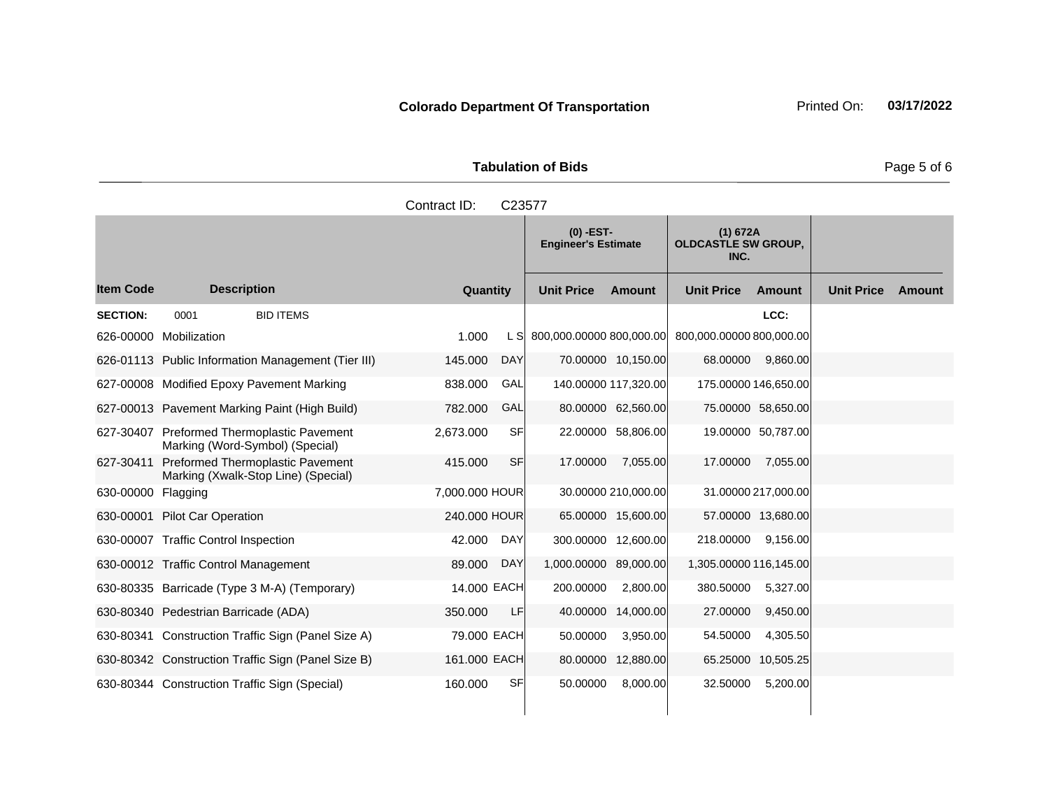**Tabulation of Bids Page 5 of 6** 

| Contract ID:<br>C23577 |                    |                                                                            |           |            |                   |                                                                                             |                                                   |                      |                   |        |
|------------------------|--------------------|----------------------------------------------------------------------------|-----------|------------|-------------------|---------------------------------------------------------------------------------------------|---------------------------------------------------|----------------------|-------------------|--------|
|                        |                    |                                                                            |           |            |                   | $(0)$ -EST-<br>(1) 672A<br><b>OLDCASTLE SW GROUP,</b><br><b>Engineer's Estimate</b><br>INC. |                                                   |                      |                   |        |
| <b>Item Code</b>       | <b>Description</b> |                                                                            | Quantity  |            | <b>Unit Price</b> | Amount                                                                                      | <b>Unit Price</b>                                 | Amount               | <b>Unit Price</b> | Amount |
| <b>SECTION:</b>        | 0001               | <b>BID ITEMS</b>                                                           |           |            |                   |                                                                                             |                                                   | LCC:                 |                   |        |
| 626-00000              | Mobilization       |                                                                            | 1.000     | L SI       |                   |                                                                                             | 800,000.00000 800,000.00 800,000.00000 800,000.00 |                      |                   |        |
|                        |                    | 626-01113 Public Information Management (Tier III)                         | 145,000   | <b>DAY</b> |                   | 70.00000 10,150.00                                                                          | 68.00000                                          | 9,860.00             |                   |        |
|                        |                    | 627-00008 Modified Epoxy Pavement Marking                                  | 838,000   | GAL        |                   | 140.00000 117,320.00                                                                        |                                                   | 175.00000 146,650.00 |                   |        |
|                        |                    | 627-00013 Pavement Marking Paint (High Build)                              | 782.000   | GAL        |                   | 80.00000 62,560.00                                                                          |                                                   | 75.00000 58,650.00   |                   |        |
| 627-30407              |                    | <b>Preformed Thermoplastic Pavement</b><br>Marking (Word-Symbol) (Special) | 2,673.000 | <b>SF</b>  | 22,00000          | 58,806.00                                                                                   |                                                   | 19.00000 50.787.00   |                   |        |

|           | 626-01113 Public Information Management (Tier III)                      | T45.UUU        | <b>DAT</b> |                      | 70.00000 TU, 150.00 | <b>00.UUUUU</b>        | 9,000.UU            |  |
|-----------|-------------------------------------------------------------------------|----------------|------------|----------------------|---------------------|------------------------|---------------------|--|
|           | 627-00008 Modified Epoxy Pavement Marking                               | 838.000        | GAL        | 140.00000 117,320.00 |                     | 175.00000 146,650.00   |                     |  |
|           | 627-00013 Pavement Marking Paint (High Build)                           | 782.000        | <b>GAL</b> |                      | 80.00000 62,560.00  |                        | 75.00000 58,650.00  |  |
| 627-30407 | Preformed Thermoplastic Pavement<br>Marking (Word-Symbol) (Special)     | 2,673.000      | <b>SF</b>  | 22.00000             | 58,806.00           |                        | 19.00000 50,787.00  |  |
| 627-30411 | Preformed Thermoplastic Pavement<br>Marking (Xwalk-Stop Line) (Special) | 415.000        | <b>SF</b>  | 17.00000             | 7,055.00            | 17.00000               | 7,055.00            |  |
| 630-00000 | Flagging                                                                | 7,000,000 HOUR |            |                      | 30.00000 210,000.00 |                        | 31.00000 217,000.00 |  |
| 630-00001 | <b>Pilot Car Operation</b>                                              | 240,000 HOUR   |            |                      | 65.00000 15,600.00  |                        | 57.00000 13,680.00  |  |
| 630-00007 | <b>Traffic Control Inspection</b>                                       | 42.000         | <b>DAY</b> | 300.00000            | 12,600.00           | 218.00000              | 9,156.00            |  |
|           | 630-00012 Traffic Control Management                                    | 89.000         | <b>DAY</b> | 1,000.00000          | 89,000.00           | 1,305.00000 116,145.00 |                     |  |
|           | 630-80335 Barricade (Type 3 M-A) (Temporary)                            | 14.000 EACH    |            | 200.00000            | 2,800.00            | 380.50000              | 5,327.00            |  |
|           | 630-80340 Pedestrian Barricade (ADA)                                    | 350.000        | LF         | 40.00000             | 14,000.00           | 27.00000               | 9,450.00            |  |
| 630-80341 | Construction Traffic Sign (Panel Size A)                                | 79.000 EACH    |            | 50.00000             | 3,950.00            | 54.50000               | 4,305.50            |  |
|           | 630-80342 Construction Traffic Sign (Panel Size B)                      | 161,000 EACH   |            | 80.00000             | 12,880.00           | 65.25000               | 10,505.25           |  |
|           | 630-80344 Construction Traffic Sign (Special)                           | 160.000        | SF         | 50.00000             | 8,000.00            | 32.50000               | 5,200.00            |  |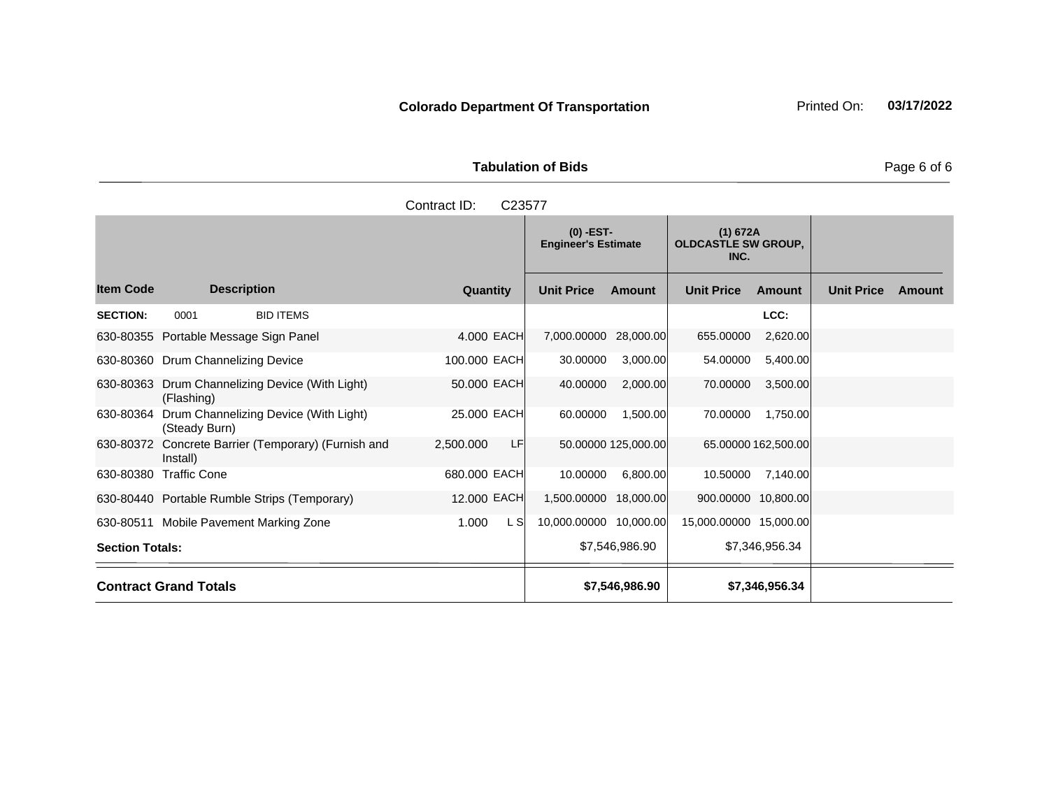| <b>Tabulation of Bids</b> | Page 6 of 6 |
|---------------------------|-------------|

|                        |                                                        | Contract ID:<br>C23577 |                                           |                     |                                                |                     |                   |        |
|------------------------|--------------------------------------------------------|------------------------|-------------------------------------------|---------------------|------------------------------------------------|---------------------|-------------------|--------|
|                        |                                                        |                        | $(0)$ -EST-<br><b>Engineer's Estimate</b> |                     | (1) 672A<br><b>OLDCASTLE SW GROUP,</b><br>INC. |                     |                   |        |
| <b>Item Code</b>       | <b>Description</b>                                     | Quantity               | <b>Unit Price</b>                         | Amount              | <b>Unit Price</b>                              | Amount              | <b>Unit Price</b> | Amount |
| <b>SECTION:</b>        | <b>BID ITEMS</b><br>0001                               |                        |                                           |                     |                                                | LCC:                |                   |        |
|                        | 630-80355 Portable Message Sign Panel                  | 4.000 EACH             | 7,000.00000 28,000.00                     |                     | 655.00000                                      | 2,620.00            |                   |        |
|                        | 630-80360 Drum Channelizing Device                     | 100.000 EACH           | 30.00000                                  | 3,000.00            | 54.00000                                       | 5,400.00            |                   |        |
| 630-80363              | Drum Channelizing Device (With Light)<br>(Flashing)    | 50.000 EACH            | 40.00000                                  | 2,000.00            | 70.00000                                       | 3,500.00            |                   |        |
| 630-80364              | Drum Channelizing Device (With Light)<br>(Steady Burn) | 25.000 EACH            | 60.00000                                  | 1,500.00            | 70.00000                                       | 1,750.00            |                   |        |
| 630-80372              | Concrete Barrier (Temporary) (Furnish and<br>Install)  | LF<br>2,500.000        |                                           | 50.00000 125,000.00 |                                                | 65.00000 162,500.00 |                   |        |
| 630-80380              | <b>Traffic Cone</b>                                    | 680.000 EACH           | 10.00000                                  | 6,800.00            | 10.50000                                       | 7,140.00            |                   |        |
|                        | 630-80440 Portable Rumble Strips (Temporary)           | 12.000 EACH            | 1,500.00000 18,000.00                     |                     | 900.00000 10,800.00                            |                     |                   |        |
|                        | 630-80511 Mobile Pavement Marking Zone                 | L S<br>1.000           | 10,000.00000 10,000.00                    |                     | 15,000.00000 15,000.00                         |                     |                   |        |
| <b>Section Totals:</b> |                                                        |                        |                                           | \$7,546,986.90      |                                                | \$7,346,956.34      |                   |        |
|                        | <b>Contract Grand Totals</b>                           |                        |                                           | \$7,546,986.90      |                                                | \$7,346,956.34      |                   |        |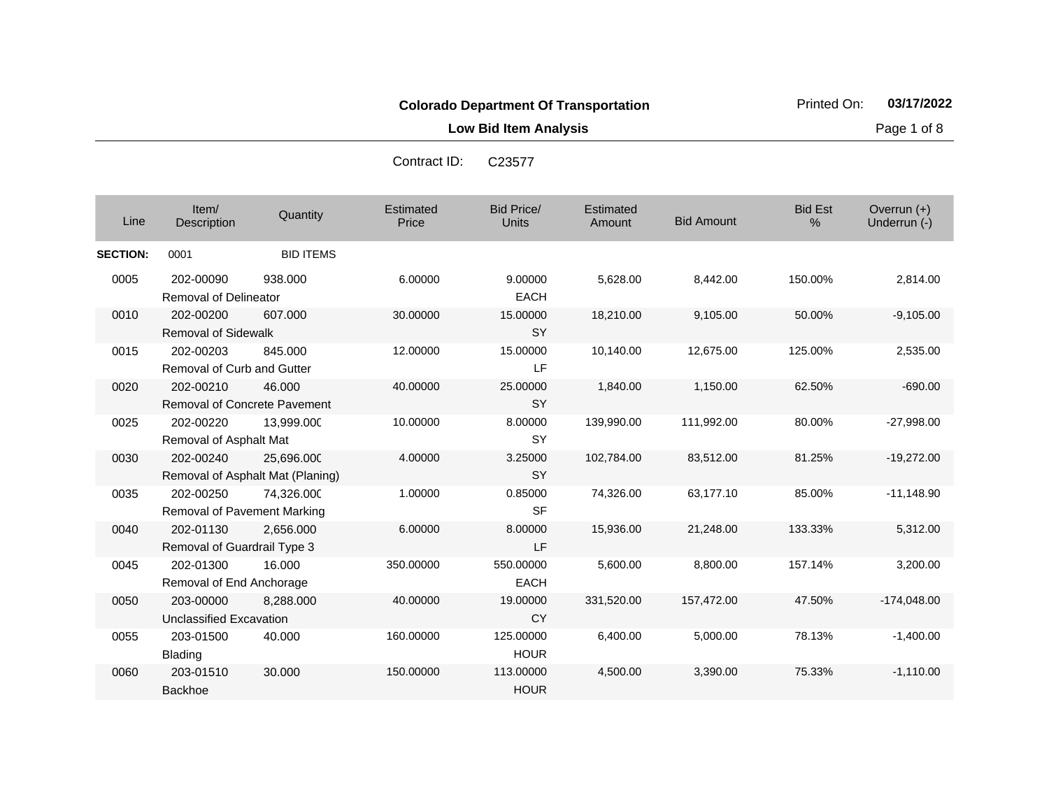**Low Bid Item Analysis Page 1 of 8** 

| Line            | Item/<br>Description                            | Quantity                                       | Estimated<br>Price | <b>Bid Price/</b><br><b>Units</b> | Estimated<br>Amount | <b>Bid Amount</b> | <b>Bid Est</b><br>$\%$ | Overrun $(+)$<br>Underrun (-) |
|-----------------|-------------------------------------------------|------------------------------------------------|--------------------|-----------------------------------|---------------------|-------------------|------------------------|-------------------------------|
| <b>SECTION:</b> | 0001                                            | <b>BID ITEMS</b>                               |                    |                                   |                     |                   |                        |                               |
| 0005            | 202-00090<br>Removal of Delineator              | 938,000                                        | 6.00000            | 9.00000<br><b>EACH</b>            | 5,628.00            | 8,442.00          | 150.00%                | 2,814.00                      |
| 0010            | 202-00200<br><b>Removal of Sidewalk</b>         | 607.000                                        | 30.00000           | 15.00000<br><b>SY</b>             | 18,210.00           | 9,105.00          | 50.00%                 | $-9,105.00$                   |
| 0015            | 202-00203<br>Removal of Curb and Gutter         | 845.000                                        | 12.00000           | 15.00000<br>LF                    | 10,140.00           | 12,675.00         | 125.00%                | 2,535.00                      |
| 0020            | 202-00210<br>Removal of Concrete Pavement       | 46.000                                         | 40.00000           | 25.00000<br><b>SY</b>             | 1,840.00            | 1,150.00          | 62.50%                 | $-690.00$                     |
| 0025            | 202-00220<br>Removal of Asphalt Mat             | 13,999.000                                     | 10.00000           | 8.00000<br><b>SY</b>              | 139,990.00          | 111,992.00        | 80.00%                 | $-27,998.00$                  |
| 0030            | 202-00240                                       | 25,696.000<br>Removal of Asphalt Mat (Planing) | 4.00000            | 3.25000<br><b>SY</b>              | 102,784.00          | 83,512.00         | 81.25%                 | $-19,272.00$                  |
| 0035            | 202-00250<br><b>Removal of Pavement Marking</b> | 74,326.000                                     | 1.00000            | 0.85000<br><b>SF</b>              | 74,326.00           | 63,177.10         | 85.00%                 | $-11,148.90$                  |
| 0040            | 202-01130<br>Removal of Guardrail Type 3        | 2,656.000                                      | 6.00000            | 8.00000<br><b>LF</b>              | 15,936.00           | 21,248.00         | 133.33%                | 5,312.00                      |
| 0045            | 202-01300<br>Removal of End Anchorage           | 16.000                                         | 350.00000          | 550.00000<br><b>EACH</b>          | 5,600.00            | 8,800.00          | 157.14%                | 3,200.00                      |
| 0050            | 203-00000<br>Unclassified Excavation            | 8,288.000                                      | 40.00000           | 19.00000<br><b>CY</b>             | 331,520.00          | 157,472.00        | 47.50%                 | $-174,048.00$                 |
| 0055            | 203-01500<br><b>Blading</b>                     | 40.000                                         | 160.00000          | 125.00000<br><b>HOUR</b>          | 6,400.00            | 5,000.00          | 78.13%                 | $-1,400.00$                   |
| 0060            | 203-01510<br><b>Backhoe</b>                     | 30,000                                         | 150.00000          | 113.00000<br><b>HOUR</b>          | 4,500.00            | 3,390.00          | 75.33%                 | $-1.110.00$                   |

Contract ID: C23577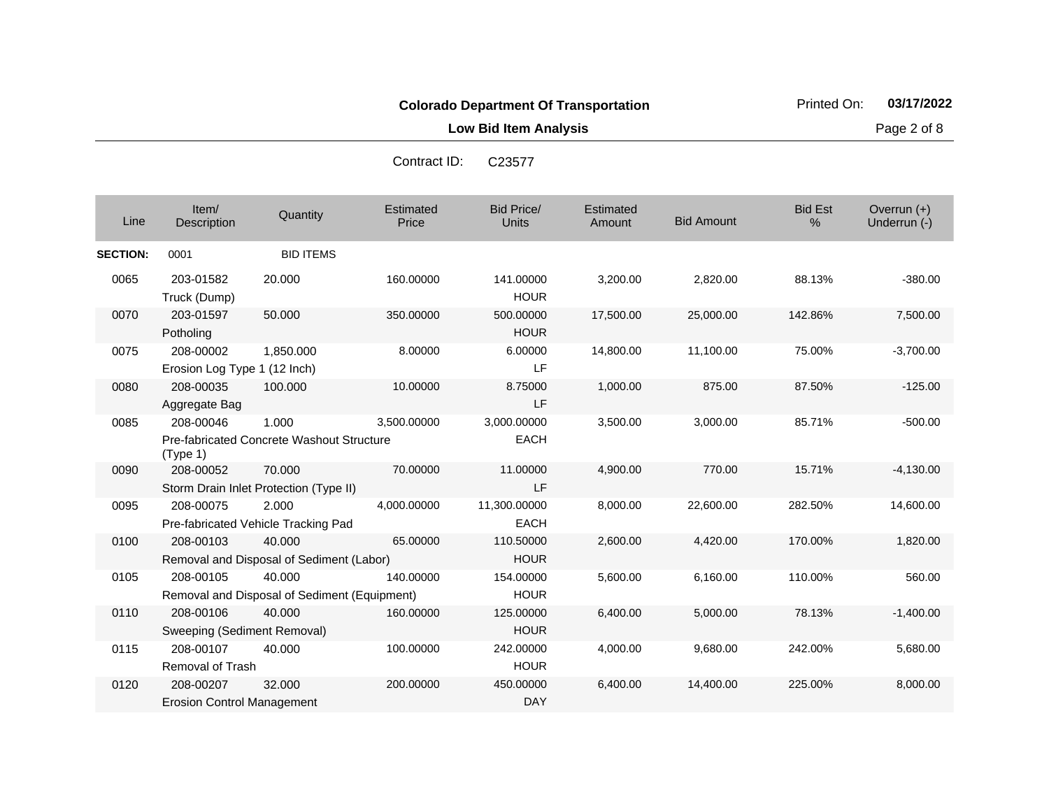Contract ID: C23577

**Low Bid Item Analysis Page 2 of 8** 

| Line            | Item/<br>Description                           | Quantity                                               | Estimated<br>Price | <b>Bid Price/</b><br><b>Units</b> | Estimated<br>Amount | <b>Bid Amount</b> | <b>Bid Est</b><br>% | Overrun (+)<br>Underrun (-) |
|-----------------|------------------------------------------------|--------------------------------------------------------|--------------------|-----------------------------------|---------------------|-------------------|---------------------|-----------------------------|
| <b>SECTION:</b> | 0001                                           | <b>BID ITEMS</b>                                       |                    |                                   |                     |                   |                     |                             |
| 0065            | 203-01582<br>Truck (Dump)                      | 20,000                                                 | 160.00000          | 141.00000<br><b>HOUR</b>          | 3,200.00            | 2,820.00          | 88.13%              | $-380.00$                   |
| 0070            | 203-01597<br>Potholing                         | 50,000                                                 | 350.00000          | 500.00000<br><b>HOUR</b>          | 17,500.00           | 25,000.00         | 142.86%             | 7,500.00                    |
| 0075            | 208-00002<br>Erosion Log Type 1 (12 Inch)      | 1,850.000                                              | 8.00000            | 6.00000<br>LF                     | 14,800.00           | 11,100.00         | 75.00%              | $-3,700.00$                 |
| 0080            | 208-00035<br>Aggregate Bag                     | 100.000                                                | 10.00000           | 8.75000<br>LF                     | 1,000.00            | 875.00            | 87.50%              | $-125.00$                   |
| 0085            | 208-00046<br>(Type 1)                          | 1.000<br>Pre-fabricated Concrete Washout Structure     | 3,500.00000        | 3.000.00000<br><b>EACH</b>        | 3,500.00            | 3,000.00          | 85.71%              | $-500.00$                   |
| 0090            | 208-00052                                      | 70.000<br>Storm Drain Inlet Protection (Type II)       | 70.00000           | 11.00000<br>LF                    | 4,900.00            | 770.00            | 15.71%              | $-4,130.00$                 |
| 0095            | 208-00075                                      | 2.000<br>Pre-fabricated Vehicle Tracking Pad           | 4,000.00000        | 11,300.00000<br><b>EACH</b>       | 8,000.00            | 22,600.00         | 282.50%             | 14,600.00                   |
| 0100            | 208-00103                                      | 40.000<br>Removal and Disposal of Sediment (Labor)     | 65.00000           | 110.50000<br><b>HOUR</b>          | 2,600.00            | 4,420.00          | 170.00%             | 1,820.00                    |
| 0105            | 208-00105                                      | 40.000<br>Removal and Disposal of Sediment (Equipment) | 140.00000          | 154.00000<br><b>HOUR</b>          | 5,600.00            | 6,160.00          | 110.00%             | 560.00                      |
| 0110            | 208-00106<br>Sweeping (Sediment Removal)       | 40.000                                                 | 160.00000          | 125.00000<br><b>HOUR</b>          | 6,400.00            | 5,000.00          | 78.13%              | $-1,400.00$                 |
| 0115            | 208-00107<br>Removal of Trash                  | 40.000                                                 | 100.00000          | 242.00000<br><b>HOUR</b>          | 4,000.00            | 9,680.00          | 242.00%             | 5,680.00                    |
| 0120            | 208-00207<br><b>Erosion Control Management</b> | 32.000                                                 | 200.00000          | 450.00000<br><b>DAY</b>           | 6,400.00            | 14,400.00         | 225.00%             | 8,000.00                    |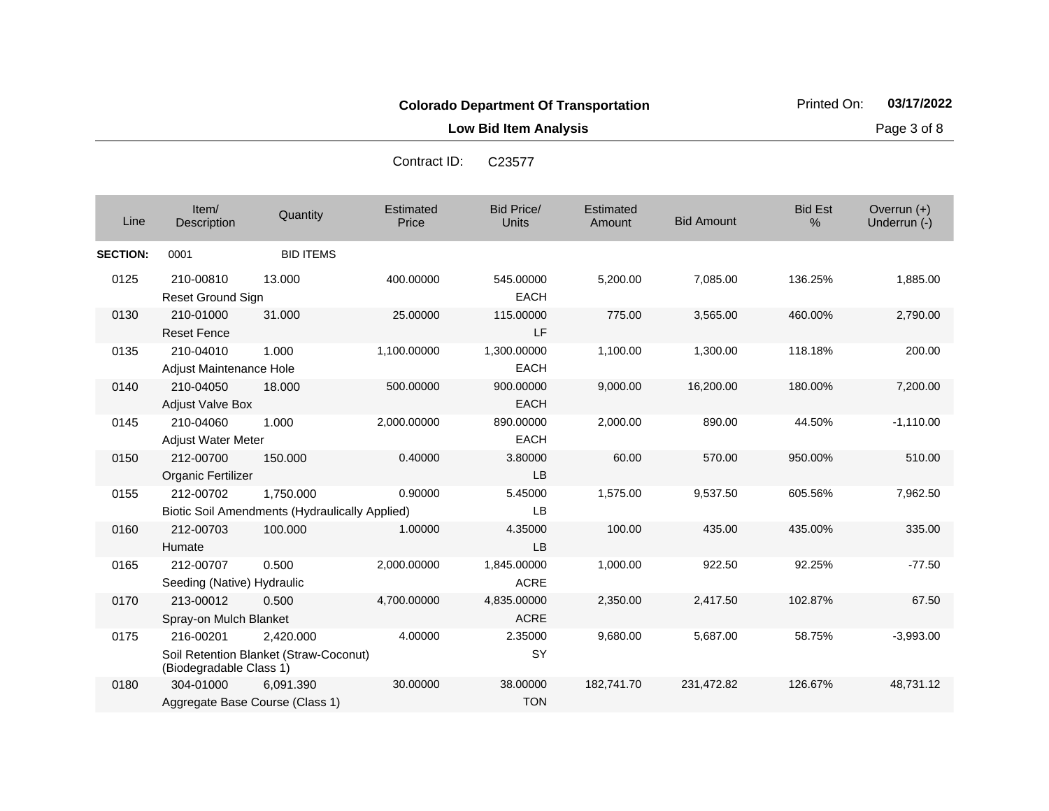Contract ID: C23577

**Low Bid Item Analysis Page 3 of 8** 

| Line            | Item/<br>Description                    | Quantity                                                           | Estimated<br>Price | <b>Bid Price/</b><br><b>Units</b> | Estimated<br>Amount | <b>Bid Amount</b> | <b>Bid Est</b><br>% | Overrun $(+)$<br>Underrun (-) |
|-----------------|-----------------------------------------|--------------------------------------------------------------------|--------------------|-----------------------------------|---------------------|-------------------|---------------------|-------------------------------|
| <b>SECTION:</b> | 0001                                    | <b>BID ITEMS</b>                                                   |                    |                                   |                     |                   |                     |                               |
| 0125            | 210-00810<br>Reset Ground Sign          | 13.000                                                             | 400.00000          | 545.00000<br><b>EACH</b>          | 5,200.00            | 7,085.00          | 136.25%             | 1,885.00                      |
| 0130            | 210-01000<br><b>Reset Fence</b>         | 31.000                                                             | 25.00000           | 115.00000<br><b>LF</b>            | 775.00              | 3,565.00          | 460.00%             | 2,790.00                      |
| 0135            | 210-04010<br>Adjust Maintenance Hole    | 1.000                                                              | 1,100.00000        | 1,300.00000<br><b>EACH</b>        | 1,100.00            | 1,300.00          | 118.18%             | 200.00                        |
| 0140            | 210-04050<br><b>Adjust Valve Box</b>    | 18.000                                                             | 500.00000          | 900.00000<br><b>EACH</b>          | 9,000.00            | 16,200.00         | 180.00%             | 7,200.00                      |
| 0145            | 210-04060<br><b>Adjust Water Meter</b>  | 1.000                                                              | 2,000.00000        | 890.00000<br><b>EACH</b>          | 2,000.00            | 890.00            | 44.50%              | $-1,110.00$                   |
| 0150            | 212-00700<br>Organic Fertilizer         | 150.000                                                            | 0.40000            | 3.80000<br>LB                     | 60.00               | 570.00            | 950.00%             | 510.00                        |
| 0155            | 212-00702                               | 1.750.000<br><b>Biotic Soil Amendments (Hydraulically Applied)</b> | 0.90000            | 5.45000<br><b>LB</b>              | 1,575.00            | 9,537.50          | 605.56%             | 7,962.50                      |
| 0160            | 212-00703<br>Humate                     | 100.000                                                            | 1.00000            | 4.35000<br>LB                     | 100.00              | 435.00            | 435.00%             | 335.00                        |
| 0165            | 212-00707<br>Seeding (Native) Hydraulic | 0.500                                                              | 2,000.00000        | 1,845.00000<br><b>ACRE</b>        | 1,000.00            | 922.50            | 92.25%              | $-77.50$                      |
| 0170            | 213-00012<br>Spray-on Mulch Blanket     | 0.500                                                              | 4,700.00000        | 4,835.00000<br><b>ACRE</b>        | 2,350.00            | 2,417.50          | 102.87%             | 67.50                         |
| 0175            | 216-00201<br>(Biodegradable Class 1)    | 2,420.000<br>Soil Retention Blanket (Straw-Coconut)                | 4.00000            | 2.35000<br>SY                     | 9,680.00            | 5,687.00          | 58.75%              | $-3,993.00$                   |
| 0180            | 304-01000                               | 6,091.390<br>Aggregate Base Course (Class 1)                       | 30.00000           | 38.00000<br><b>TON</b>            | 182,741.70          | 231,472.82        | 126.67%             | 48,731.12                     |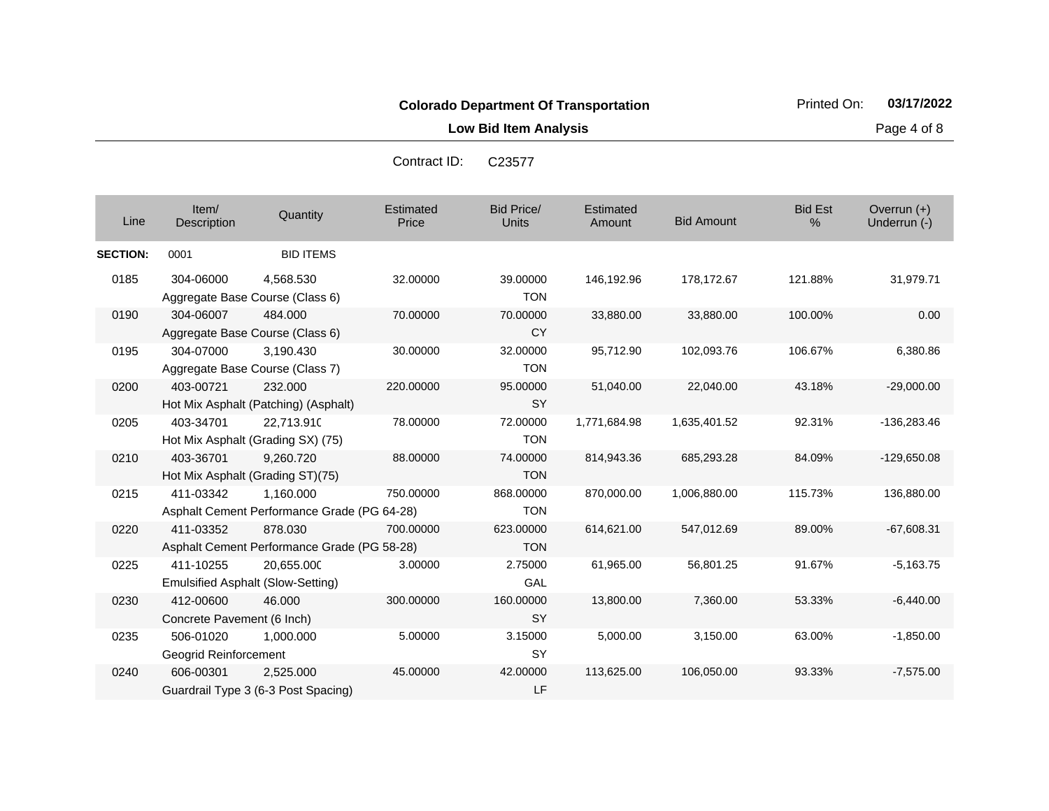**Low Bid Item Analysis Page 4 of 8** 

| Line            | Item/<br>Description                      | Quantity                                                 | Estimated<br>Price | Bid Price/<br><b>Units</b> | Estimated<br>Amount | <b>Bid Amount</b> | <b>Bid Est</b><br>% | Overrun $(+)$<br>Underrun (-) |
|-----------------|-------------------------------------------|----------------------------------------------------------|--------------------|----------------------------|---------------------|-------------------|---------------------|-------------------------------|
| <b>SECTION:</b> | 0001                                      | <b>BID ITEMS</b>                                         |                    |                            |                     |                   |                     |                               |
| 0185            | 304-06000                                 | 4,568.530<br>Aggregate Base Course (Class 6)             | 32.00000           | 39.00000<br><b>TON</b>     | 146,192.96          | 178,172.67        | 121.88%             | 31,979.71                     |
| 0190            | 304-06007                                 | 484.000<br>Aggregate Base Course (Class 6)               | 70.00000           | 70.00000<br><b>CY</b>      | 33,880.00           | 33,880.00         | 100.00%             | 0.00                          |
| 0195            | 304-07000                                 | 3.190.430<br>Aggregate Base Course (Class 7)             | 30.00000           | 32.00000<br><b>TON</b>     | 95,712.90           | 102,093.76        | 106.67%             | 6,380.86                      |
| 0200            | 403-00721                                 | 232,000<br>Hot Mix Asphalt (Patching) (Asphalt)          | 220.00000          | 95.00000<br>SY             | 51,040.00           | 22,040.00         | 43.18%              | $-29,000.00$                  |
| 0205            | 403-34701                                 | 22,713.910<br>Hot Mix Asphalt (Grading SX) (75)          | 78.00000           | 72.00000<br><b>TON</b>     | 1,771,684.98        | 1,635,401.52      | 92.31%              | $-136,283.46$                 |
| 0210            | 403-36701                                 | 9,260.720<br>Hot Mix Asphalt (Grading ST)(75)            | 88.00000           | 74.00000<br><b>TON</b>     | 814,943.36          | 685,293.28        | 84.09%              | $-129,650.08$                 |
| 0215            | 411-03342                                 | 1,160.000<br>Asphalt Cement Performance Grade (PG 64-28) | 750.00000          | 868.00000<br><b>TON</b>    | 870,000.00          | 1,006,880.00      | 115.73%             | 136,880.00                    |
| 0220            | 411-03352                                 | 878.030<br>Asphalt Cement Performance Grade (PG 58-28)   | 700.00000          | 623.00000<br><b>TON</b>    | 614,621.00          | 547,012.69        | 89.00%              | $-67,608.31$                  |
| 0225            | 411-10255                                 | 20,655.000<br><b>Emulsified Asphalt (Slow-Setting)</b>   | 3.00000            | 2.75000<br>GAL             | 61,965.00           | 56,801.25         | 91.67%              | $-5,163.75$                   |
| 0230            | 412-00600<br>Concrete Pavement (6 Inch)   | 46.000                                                   | 300.00000          | 160.00000<br><b>SY</b>     | 13,800.00           | 7,360.00          | 53.33%              | $-6,440.00$                   |
| 0235            | 506-01020<br><b>Geogrid Reinforcement</b> | 1,000.000                                                | 5.00000            | 3.15000<br><b>SY</b>       | 5,000.00            | 3,150.00          | 63.00%              | $-1,850.00$                   |
| 0240            | 606-00301                                 | 2.525.000<br>Guardrail Type 3 (6-3 Post Spacing)         | 45.00000           | 42.00000<br>LF             | 113,625.00          | 106,050.00        | 93.33%              | $-7,575.00$                   |

Contract ID: C23577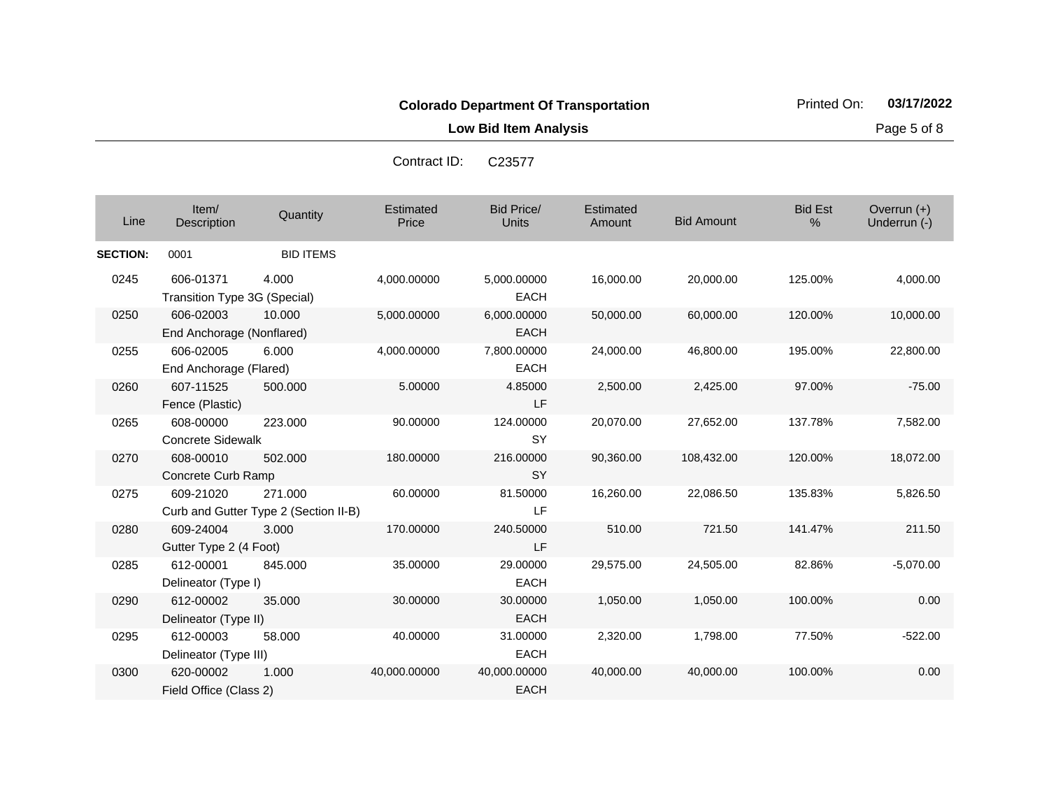**Low Bid Item Analysis Page 5 of 8** 

Overrun (+)

| Contract ID: | C23577            |                             |
|--------------|-------------------|-----------------------------|
| Estimated    | <b>Bid Price/</b> | Estimated                   |
| Drios        | $l \ln 1$         | $\Lambda$ measure $\Lambda$ |

Item/

| Line            | Item/<br>Description                      | Quantity                                         | <b>Estimated</b><br>Price | <b>Bid Price/</b><br>Units  | Estimated<br>Amount | <b>Bid Amount</b> | <b>Bid Est</b><br>$\%$ | Overrun $(+)$<br>Underrun (-) |
|-----------------|-------------------------------------------|--------------------------------------------------|---------------------------|-----------------------------|---------------------|-------------------|------------------------|-------------------------------|
| <b>SECTION:</b> | 0001                                      | <b>BID ITEMS</b>                                 |                           |                             |                     |                   |                        |                               |
| 0245            | 606-01371<br>Transition Type 3G (Special) | 4.000                                            | 4,000.00000               | 5,000.00000<br><b>EACH</b>  | 16,000.00           | 20,000.00         | 125.00%                | 4,000.00                      |
| 0250            | 606-02003<br>End Anchorage (Nonflared)    | 10.000                                           | 5,000.00000               | 6,000.00000<br><b>EACH</b>  | 50,000.00           | 60,000.00         | 120.00%                | 10,000.00                     |
| 0255            | 606-02005<br>End Anchorage (Flared)       | 6.000                                            | 4,000.00000               | 7,800.00000<br><b>EACH</b>  | 24,000.00           | 46,800.00         | 195.00%                | 22,800.00                     |
| 0260            | 607-11525<br>Fence (Plastic)              | 500.000                                          | 5.00000                   | 4.85000<br>LF.              | 2,500.00            | 2,425.00          | 97.00%                 | $-75.00$                      |
| 0265            | 608-00000<br><b>Concrete Sidewalk</b>     | 223,000                                          | 90.00000                  | 124.00000<br><b>SY</b>      | 20,070.00           | 27,652.00         | 137.78%                | 7,582.00                      |
| 0270            | 608-00010<br>Concrete Curb Ramp           | 502.000                                          | 180.00000                 | 216.00000<br><b>SY</b>      | 90,360.00           | 108,432.00        | 120.00%                | 18,072.00                     |
| 0275            | 609-21020                                 | 271.000<br>Curb and Gutter Type 2 (Section II-B) | 60.00000                  | 81.50000<br>LF              | 16,260.00           | 22,086.50         | 135.83%                | 5,826.50                      |
| 0280            | 609-24004<br>Gutter Type 2 (4 Foot)       | 3.000                                            | 170.00000                 | 240.50000<br>LF.            | 510.00              | 721.50            | 141.47%                | 211.50                        |
| 0285            | 612-00001<br>Delineator (Type I)          | 845.000                                          | 35.00000                  | 29.00000<br><b>EACH</b>     | 29,575.00           | 24,505.00         | 82.86%                 | $-5,070.00$                   |
| 0290            | 612-00002<br>Delineator (Type II)         | 35.000                                           | 30.00000                  | 30.00000<br><b>EACH</b>     | 1,050.00            | 1,050.00          | 100.00%                | 0.00                          |
| 0295            | 612-00003<br>Delineator (Type III)        | 58.000                                           | 40.00000                  | 31.00000<br><b>EACH</b>     | 2,320.00            | 1,798.00          | 77.50%                 | $-522.00$                     |
| 0300            | 620-00002<br>Field Office (Class 2)       | 1.000                                            | 40,000.00000              | 40,000.00000<br><b>EACH</b> | 40,000.00           | 40,000.00         | 100.00%                | 0.00                          |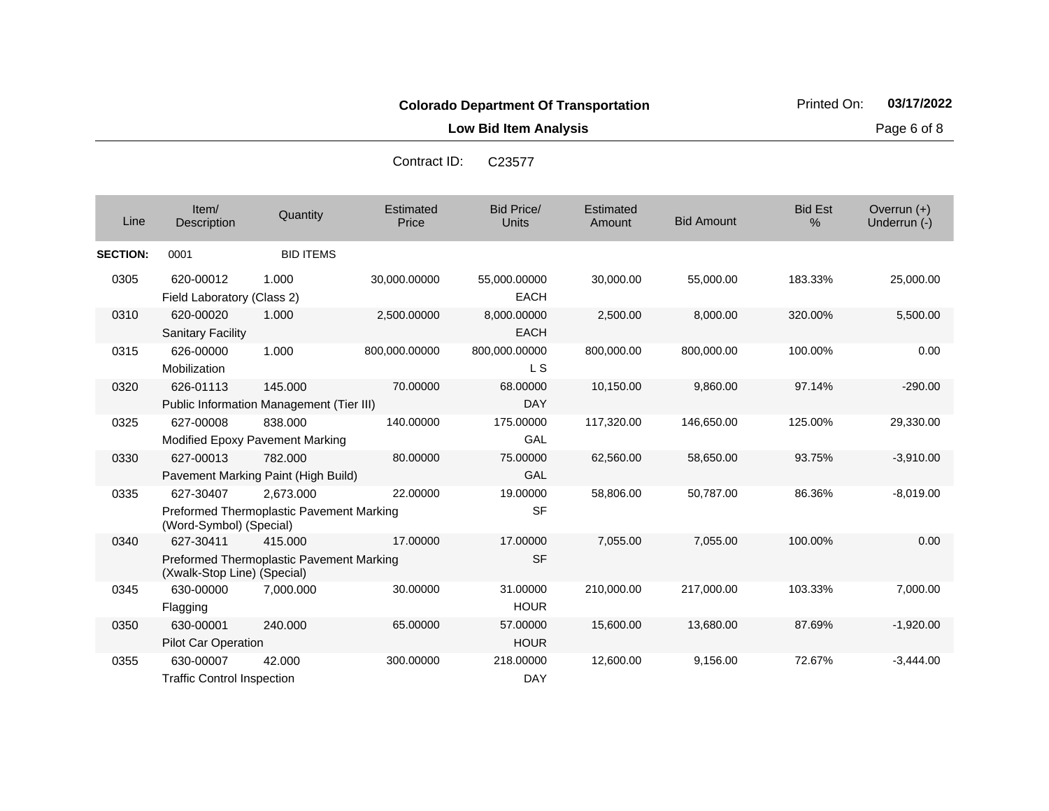**Low Bid Item Analysis Page 6 of 8** 

|                 |                                          |                                                       | Contract ID:       | C23577                            |                     |                   |                     |                               |
|-----------------|------------------------------------------|-------------------------------------------------------|--------------------|-----------------------------------|---------------------|-------------------|---------------------|-------------------------------|
| Line            | Item/<br>Description                     | Quantity                                              | Estimated<br>Price | <b>Bid Price/</b><br><b>Units</b> | Estimated<br>Amount | <b>Bid Amount</b> | <b>Bid Est</b><br>% | Overrun $(+)$<br>Underrun (-) |
| <b>SECTION:</b> | 0001                                     | <b>BID ITEMS</b>                                      |                    |                                   |                     |                   |                     |                               |
| 0305            | 620-00012<br>Field Laboratory (Class 2)  | 1.000                                                 | 30,000.00000       | 55,000.00000<br><b>EACH</b>       | 30,000.00           | 55,000.00         | 183.33%             | 25,000.00                     |
| 0310            | 620-00020<br><b>Sanitary Facility</b>    | 1.000                                                 | 2,500.00000        | 8,000.00000<br><b>EACH</b>        | 2,500.00            | 8,000.00          | 320.00%             | 5,500.00                      |
| 0315            | 626-00000<br>Mobilization                | 1.000                                                 | 800,000.00000      | 800,000.00000<br>L S              | 800,000.00          | 800,000.00        | 100.00%             | 0.00                          |
| 0320            | 626-01113                                | 145.000<br>Public Information Management (Tier III)   | 70.00000           | 68.00000<br><b>DAY</b>            | 10,150.00           | 9,860.00          | 97.14%              | $-290.00$                     |
| 0325            | 627-00008                                | 838.000<br>Modified Epoxy Pavement Marking            | 140.00000          | 175.00000<br>GAL                  | 117,320.00          | 146,650.00        | 125.00%             | 29,330.00                     |
| 0330            | 627-00013                                | 782.000<br>Pavement Marking Paint (High Build)        | 80.00000           | 75.00000<br>GAL                   | 62,560.00           | 58,650.00         | 93.75%              | $-3,910.00$                   |
| 0335            | 627-30407<br>(Word-Symbol) (Special)     | 2,673.000<br>Preformed Thermoplastic Pavement Marking | 22.00000           | 19.00000<br><b>SF</b>             | 58,806.00           | 50,787.00         | 86.36%              | $-8,019.00$                   |
| 0340            | 627-30411<br>(Xwalk-Stop Line) (Special) | 415.000<br>Preformed Thermoplastic Pavement Marking   | 17.00000           | 17.00000<br><b>SF</b>             | 7,055.00            | 7,055.00          | 100.00%             | 0.00                          |
| 0345            | 630-00000<br>Flagging                    | 7,000.000                                             | 30.00000           | 31.00000<br><b>HOUR</b>           | 210,000.00          | 217,000.00        | 103.33%             | 7,000.00                      |
| 0350            | 630-00001<br>Pilot Car Operation         | 240,000                                               | 65.00000           | 57.00000<br><b>HOUR</b>           | 15,600.00           | 13,680.00         | 87.69%              | $-1,920.00$                   |
| 0355            | 630-00007                                | 42.000                                                | 300.00000          | 218.00000                         | 12.600.00           | 9,156.00          | 72.67%              | $-3.444.00$                   |

DAY

Traffic Control Inspection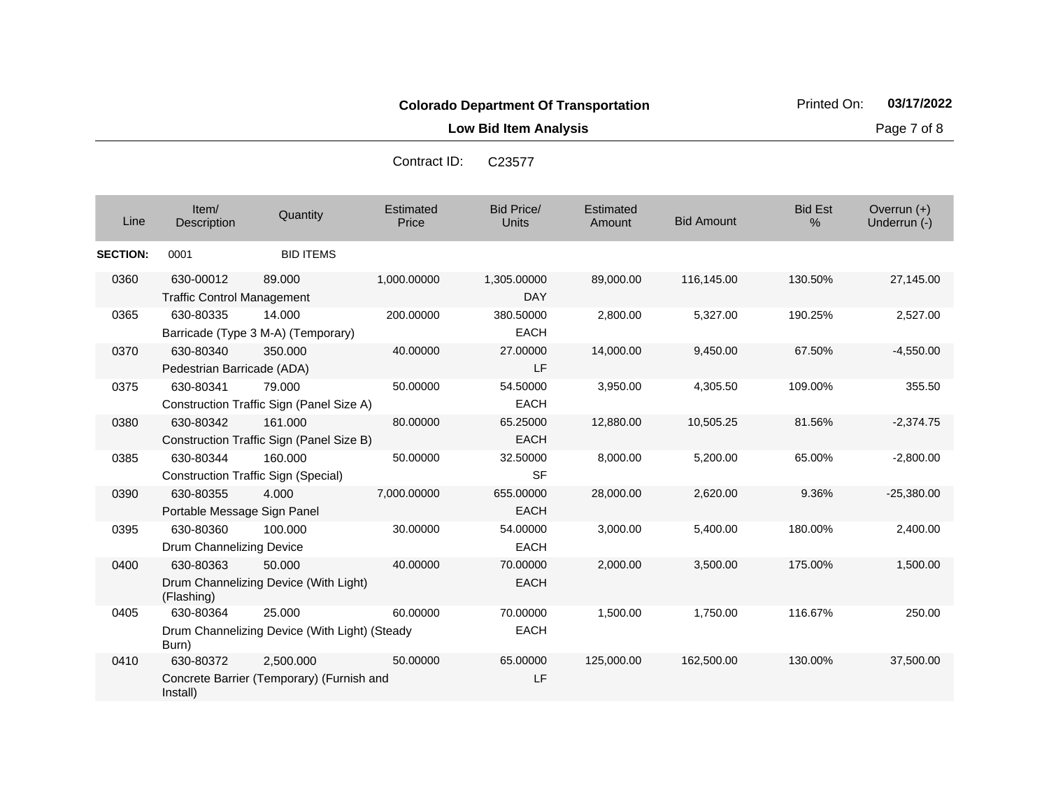**Low Bid Item Analysis Page 7 of 8** 

| Contract ID: | C <sub>23577</sub> |
|--------------|--------------------|
|--------------|--------------------|

| Line            | Item/<br>Description                           | Quantity                                                | Estimated<br>Price | <b>Bid Price/</b><br><b>Units</b> | Estimated<br>Amount | <b>Bid Amount</b> | <b>Bid Est</b><br>$\%$ | Overrun $(+)$<br>Underrun (-) |
|-----------------|------------------------------------------------|---------------------------------------------------------|--------------------|-----------------------------------|---------------------|-------------------|------------------------|-------------------------------|
| <b>SECTION:</b> | 0001                                           | <b>BID ITEMS</b>                                        |                    |                                   |                     |                   |                        |                               |
| 0360            | 630-00012<br><b>Traffic Control Management</b> | 89.000                                                  | 1,000.00000        | 1,305.00000<br><b>DAY</b>         | 89,000.00           | 116,145.00        | 130.50%                | 27,145.00                     |
| 0365            | 630-80335                                      | 14.000<br>Barricade (Type 3 M-A) (Temporary)            | 200.00000          | 380.50000<br><b>EACH</b>          | 2,800.00            | 5,327.00          | 190.25%                | 2,527.00                      |
| 0370            | 630-80340<br>Pedestrian Barricade (ADA)        | 350,000                                                 | 40.00000           | 27.00000<br>LF                    | 14,000.00           | 9,450.00          | 67.50%                 | $-4,550.00$                   |
| 0375            | 630-80341                                      | 79.000<br>Construction Traffic Sign (Panel Size A)      | 50.00000           | 54.50000<br><b>EACH</b>           | 3,950.00            | 4,305.50          | 109.00%                | 355.50                        |
| 0380            | 630-80342                                      | 161.000<br>Construction Traffic Sign (Panel Size B)     | 80.00000           | 65.25000<br><b>EACH</b>           | 12,880.00           | 10,505.25         | 81.56%                 | $-2,374.75$                   |
| 0385            | 630-80344                                      | 160.000<br><b>Construction Traffic Sign (Special)</b>   | 50.00000           | 32.50000<br><b>SF</b>             | 8,000.00            | 5,200.00          | 65.00%                 | $-2,800.00$                   |
| 0390            | 630-80355<br>Portable Message Sign Panel       | 4.000                                                   | 7,000.00000        | 655,00000<br><b>EACH</b>          | 28,000.00           | 2,620.00          | 9.36%                  | $-25,380.00$                  |
| 0395            | 630-80360<br>Drum Channelizing Device          | 100.000                                                 | 30.00000           | 54.00000<br><b>EACH</b>           | 3,000.00            | 5,400.00          | 180.00%                | 2,400.00                      |
| 0400            | 630-80363<br>(Flashing)                        | 50.000<br>Drum Channelizing Device (With Light)         | 40.00000           | 70.00000<br><b>EACH</b>           | 2,000.00            | 3,500.00          | 175.00%                | 1,500.00                      |
| 0405            | 630-80364<br>Burn)                             | 25.000<br>Drum Channelizing Device (With Light) (Steady | 60.00000           | 70.00000<br><b>EACH</b>           | 1,500.00            | 1,750.00          | 116.67%                | 250.00                        |
| 0410            | 630-80372<br>Install)                          | 2,500.000<br>Concrete Barrier (Temporary) (Furnish and  | 50.00000           | 65.00000<br>LF                    | 125,000.00          | 162,500.00        | 130.00%                | 37,500.00                     |